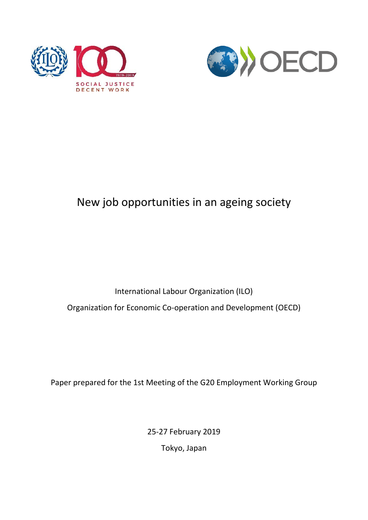



# New job opportunities in an ageing society

International Labour Organization (ILO)

Organization for Economic Co-operation and Development (OECD)

Paper prepared for the 1st Meeting of the G20 Employment Working Group

25-27 February 2019 Tokyo, Japan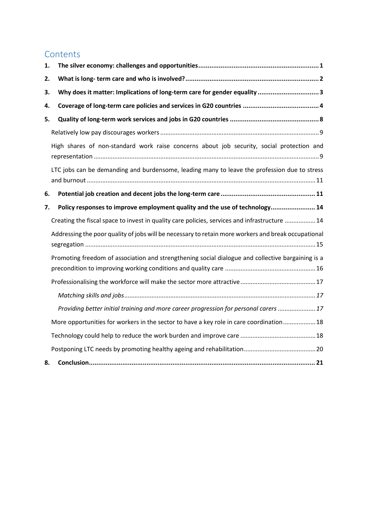# **Contents**

| 1. |                                                                                                     |
|----|-----------------------------------------------------------------------------------------------------|
| 2. |                                                                                                     |
| 3. | Why does it matter: Implications of long-term care for gender equality 3                            |
| 4. |                                                                                                     |
| 5. |                                                                                                     |
|    |                                                                                                     |
|    | High shares of non-standard work raise concerns about job security, social protection and           |
|    | LTC jobs can be demanding and burdensome, leading many to leave the profession due to stress        |
| 6. |                                                                                                     |
| 7. | Policy responses to improve employment quality and the use of technology 14                         |
|    | Creating the fiscal space to invest in quality care policies, services and infrastructure  14       |
|    | Addressing the poor quality of jobs will be necessary to retain more workers and break occupational |
|    | Promoting freedom of association and strengthening social dialogue and collective bargaining is a   |
|    |                                                                                                     |
|    |                                                                                                     |
|    | Providing better initial training and more career progression for personal carers  17               |
|    | More opportunities for workers in the sector to have a key role in care coordination 18             |
|    |                                                                                                     |
|    |                                                                                                     |
| 8. |                                                                                                     |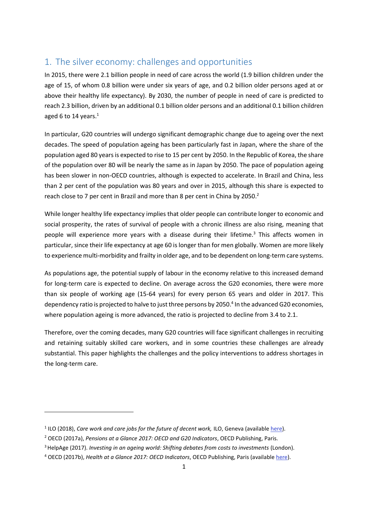## <span id="page-2-0"></span>1. The silver economy: challenges and opportunities

In 2015, there were 2.1 billion people in need of care across the world (1.9 billion children under the age of 15, of whom 0.8 billion were under six years of age, and 0.2 billion older persons aged at or above their healthy life expectancy). By 2030, the number of people in need of care is predicted to reach 2.3 billion, driven by an additional 0.1 billion older persons and an additional 0.1 billion children aged 6 to 14 years.<sup>1</sup>

In particular, G20 countries will undergo significant demographic change due to ageing over the next decades. The speed of population ageing has been particularly fast in Japan, where the share of the population aged 80 years is expected to rise to 15 per cent by 2050. In the Republic of Korea, the share of the population over 80 will be nearly the same as in Japan by 2050. The pace of population ageing has been slower in non-OECD countries, although is expected to accelerate. In Brazil and China, less than 2 per cent of the population was 80 years and over in 2015, although this share is expected to reach close to 7 per cent in Brazil and more than 8 per cent in China by 2050.<sup>2</sup>

While longer healthy life expectancy implies that older people can contribute longer to economic and social prosperity, the rates of survival of people with a chronic illness are also rising, meaning that people will experience more years with a disease during their lifetime.<sup>3</sup> This affects women in particular, since their life expectancy at age 60 is longer than for men globally. Women are more likely to experience multi-morbidity and frailty in older age, and to be dependent on long-term care systems.

As populations age, the potential supply of labour in the economy relative to this increased demand for long-term care is expected to decline. On average across the G20 economies, there were more than six people of working age (15-64 years) for every person 65 years and older in 2017. This dependency ratio is projected to halve to just three persons by 2050. 4 In the advanced G20 economies, where population ageing is more advanced, the ratio is projected to decline from 3.4 to 2.1.

Therefore, over the coming decades, many G20 countries will face significant challenges in recruiting and retaining suitably skilled care workers, and in some countries these challenges are already substantial. This paper highlights the challenges and the policy interventions to address shortages in the long-term care.

<sup>&</sup>lt;sup>1</sup> ILO (2018), *Care work and care jobs for the future of decent work,* ILO, Geneva (available *here*).

<sup>2</sup> OECD (2017a), *Pensions at a Glance 2017: OECD and G20 Indicators*, OECD Publishing, Paris.

<sup>3</sup>HelpAge (2017). *Investing in an ageing world: Shifting debates from costs to investments* (London).

<sup>4</sup> OECD (2017b), *Health at a Glance 2017: OECD Indicators*, OECD Publishing, Paris (availabl[e here\)](https://doi.org/10.1787/health_glance-2017-en).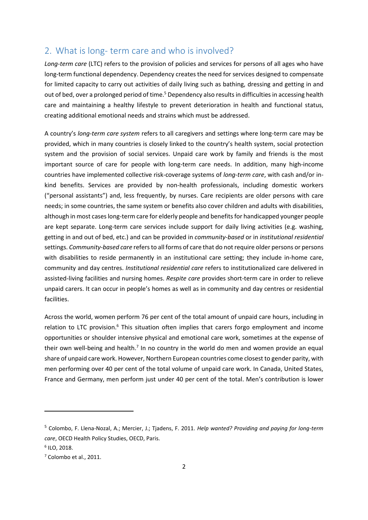### <span id="page-3-0"></span>2. What is long- term care and who is involved?

*Long-term care* (LTC) refers to the provision of policies and services for persons of all ages who have long-term functional dependency. Dependency creates the need for services designed to compensate for limited capacity to carry out activities of daily living such as bathing, dressing and getting in and out of bed, over a prolonged period of time.<sup>5</sup> Dependency also results in difficulties in accessing health care and maintaining a healthy lifestyle to prevent deterioration in health and functional status, creating additional emotional needs and strains which must be addressed.

A country's *long-term care system* refers to all caregivers and settings where long-term care may be provided, which in many countries is closely linked to the country's health system, social protection system and the provision of social services. Unpaid care work by family and friends is the most important source of care for people with long-term care needs. In addition, many high-income countries have implemented collective risk-coverage systems of *long-term care*, with cash and/or inkind benefits. Services are provided by non-health professionals, including domestic workers ("personal assistants") and, less frequently, by nurses. Care recipients are older persons with care needs; in some countries, the same system or benefits also cover children and adults with disabilities, although in most cases long-term care for elderly people and benefits for handicapped younger people are kept separate. Long-term care services include support for daily living activities (e.g. washing, getting in and out of bed, etc.) and can be provided in *community-based* or in *institutional residential* settings. *Community-based care* refers to all forms of care that do not require older persons or persons with disabilities to reside permanently in an institutional care setting; they include in-home care, community and day centres. *Institutional residential care* refers to institutionalized care delivered in assisted-living facilities and nursing homes. *Respite care* provides short-term care in order to relieve unpaid carers. It can occur in people's homes as well as in community and day centres or residential facilities.

Across the world, women perform 76 per cent of the total amount of unpaid care hours, including in relation to LTC provision.<sup>6</sup> This situation often implies that carers forgo employment and income opportunities or shoulder intensive physical and emotional care work, sometimes at the expense of their own well-being and health.<sup>7</sup> In no country in the world do men and women provide an equal share of unpaid care work. However, Northern European countries come closest to gender parity, with men performing over 40 per cent of the total volume of unpaid care work. In Canada, United States, France and Germany, men perform just under 40 per cent of the total. Men's contribution is lower

<sup>5</sup> Colombo, F. Llena-Nozal, A.; Mercier, J.; Tjadens, F. 2011. *Help wanted? Providing and paying for long-term care*, OECD Health Policy Studies, OECD, Paris.

<sup>6</sup> ILO, 2018.

<sup>7</sup> Colombo et al., 2011.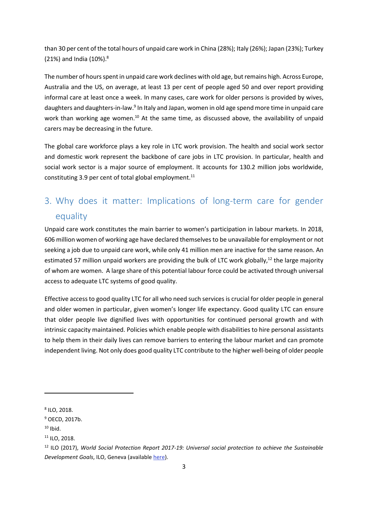than 30 per cent of the total hours of unpaid care work in China (28%); Italy (26%); Japan (23%); Turkey (21%) and India (10%).<sup>8</sup>

The number of hours spent in unpaid care work declines with old age, but remains high. Across Europe, Australia and the US, on average, at least 13 per cent of people aged 50 and over report providing informal care at least once a week. In many cases, care work for older persons is provided by wives, daughters and daughters-in-law.<sup>9</sup> In Italy and Japan, women in old age spend more time in unpaid care work than working age women.<sup>10</sup> At the same time, as discussed above, the availability of unpaid carers may be decreasing in the future.

The global care workforce plays a key role in LTC work provision. The health and social work sector and domestic work represent the backbone of care jobs in LTC provision. In particular, health and social work sector is a major source of employment. It accounts for 130.2 million jobs worldwide, constituting 3.9 per cent of total global employment. 11

# <span id="page-4-0"></span>3. Why does it matter: Implications of long-term care for gender equality

Unpaid care work constitutes the main barrier to women's participation in labour markets. In 2018, 606 million women of working age have declared themselves to be unavailable for employment or not seeking a job due to unpaid care work, while only 41 million men are inactive for the same reason. An estimated 57 million unpaid workers are providing the bulk of LTC work globally,<sup>12</sup> the large majority of whom are women. A large share of this potential labour force could be activated through universal access to adequate LTC systems of good quality.

Effective access to good quality LTC for all who need such services is crucial for older people in general and older women in particular, given women's longer life expectancy. Good quality LTC can ensure that older people live dignified lives with opportunities for continued personal growth and with intrinsic capacity maintained. Policies which enable people with disabilities to hire personal assistants to help them in their daily lives can remove barriers to entering the labour market and can promote independent living. Not only does good quality LTC contribute to the higher well-being of older people

<sup>8</sup> ILO, 2018.

<sup>9</sup> OECD, 2017b.

 $10$  Ibid.

<sup>11</sup> ILO, 2018.

<sup>12</sup> ILO (2017), *World Social Protection Report 2017-19: Universal social protection to achieve the Sustainable Development Goals*, ILO, Geneva (available [here\)](http://www.social-protection.org/gimi/gess/ShowWiki.action?id=594).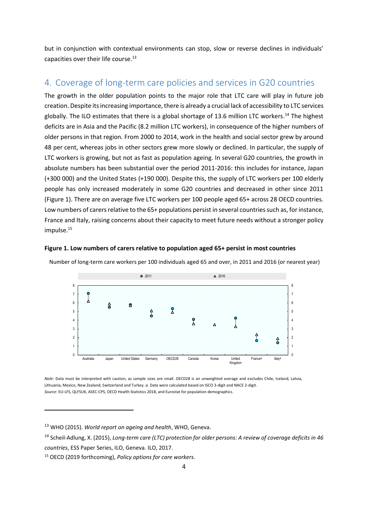but in conjunction with contextual environments can stop, slow or reverse declines in individuals' capacities over their life course.<sup>13</sup>

### <span id="page-5-0"></span>4. Coverage of long-term care policies and services in G20 countries

The growth in the older population points to the major role that LTC care will play in future job creation. Despite its increasing importance, there is already a crucial lack of accessibility to LTC services globally. The ILO estimates that there is a global shortage of 13.6 million LTC workers.<sup>14</sup> The highest deficits are in Asia and the Pacific (8.2 million LTC workers), in consequence of the higher numbers of older persons in that region. From 2000 to 2014, work in the health and social sector grew by around 48 per cent, whereas jobs in other sectors grew more slowly or declined. In particular, the supply of LTC workers is growing, but not as fast as population ageing. In several G20 countries, the growth in absolute numbers has been substantial over the period 2011-2016: this includes for instance, Japan (+300 000) and the United States (+190 000). Despite this, the supply of LTC workers per 100 elderly people has only increased moderately in some G20 countries and decreased in other since 2011 (Figure 1). There are on average five LTC workers per 100 people aged 65+ across 28 OECD countries. Low numbers of carers relative to the 65+ populations persist in several countries such as, for instance, France and Italy, raising concerns about their capacity to meet future needs without a stronger policy impulse.<sup>15</sup>

#### **Figure 1. Low numbers of carers relative to population aged 65+ persist in most countries**



Number of long-term care workers per 100 individuals aged 65 and over, in 2011 and 2016 (or nearest year)

*Note*: Data must be interpreted with caution, as sample sizes are small. OECD28 is an unweighted average and excludes Chile, Iceland, Latvia, Lithuania, Mexico, New Zealand, Switzerland and Turkey. *a.* Data were calculated based on ISCO 3-digit and NACE 2-digit. *Source*: EU-LFS, QLFSUK, ASEC-CPS, OECD Health Statistics 2018, and Eurostat for population demographics.

<sup>13</sup> WHO (2015). *World report on ageing and health*, WHO, Geneva.

 $\overline{a}$ 

<sup>14</sup> Scheil-Adlung, X. (2015), *Long-term care (LTC) protection for older persons: A review of coverage deficits in 46 countries*, ESS Paper Series, ILO, Geneva. ILO, 2017.

<sup>15</sup> OECD (2019 forthcoming), *Policy options for care workers*.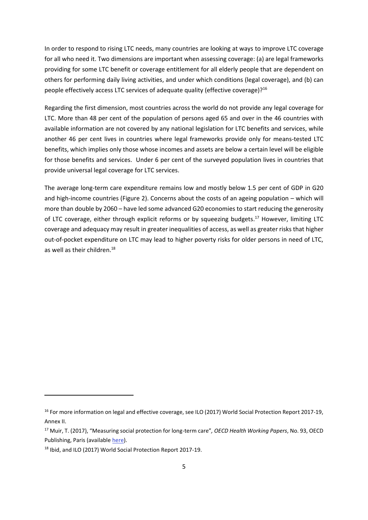In order to respond to rising LTC needs, many countries are looking at ways to improve LTC coverage for all who need it. Two dimensions are important when assessing coverage: (a) are legal frameworks providing for some LTC benefit or coverage entitlement for all elderly people that are dependent on others for performing daily living activities, and under which conditions (legal coverage), and (b) can people effectively access LTC services of adequate quality (effective coverage)?<sup>16</sup>

Regarding the first dimension, most countries across the world do not provide any legal coverage for LTC. More than 48 per cent of the population of persons aged 65 and over in the 46 countries with available information are not covered by any national legislation for LTC benefits and services, while another 46 per cent lives in countries where legal frameworks provide only for means-tested LTC benefits, which implies only those whose incomes and assets are below a certain level will be eligible for those benefits and services. Under 6 per cent of the surveyed population lives in countries that provide universal legal coverage for LTC services.

The average long-term care expenditure remains low and mostly below 1.5 per cent of GDP in G20 and high-income countries (Figure 2). Concerns about the costs of an ageing population – which will more than double by 2060 – have led some advanced G20 economies to start reducing the generosity of LTC coverage, either through explicit reforms or by squeezing budgets.<sup>17</sup> However, limiting LTC coverage and adequacy may result in greater inequalities of access, as well as greater risks that higher out-of-pocket expenditure on LTC may lead to higher poverty risks for older persons in need of LTC, as well as their children.<sup>18</sup>

<sup>&</sup>lt;sup>16</sup> For more information on legal and effective coverage, see ILO (2017) World Social Protection Report 2017-19, Annex II.

<sup>17</sup> Muir, T. (2017), "Measuring social protection for long-term care"*, OECD Health Working Papers*, No. 93, OECD Publishing, Paris (availabl[e here\)](https://dx.doi.org/10.1787/a411500a-en).

<sup>18</sup> Ibid, and ILO (2017) World Social Protection Report 2017-19.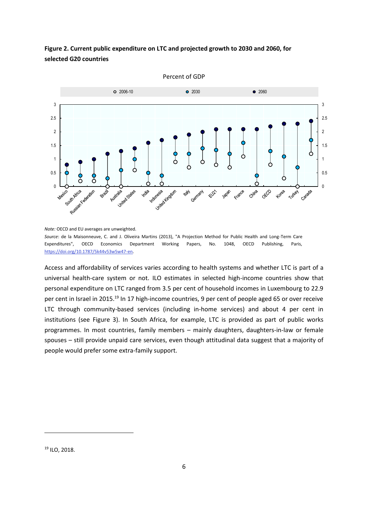### **Figure 2. Current public expenditure on LTC and projected growth to 2030 and 2060, for selected G20 countries**



*Note:* OECD and EU averages are unweighted.

*Source*: de la Maisonneuve, C. and J. Oliveira Martins (2013), "A Projection Method for Public Health and Long-Term Care Expenditures", OECD Economics Department Working Papers, No. 1048, OECD Publishing, Paris, [https://doi.org/10.1787/5k44v53w5w47-en.](https://doi.org/10.1787/5k44v53w5w47-en)

Access and affordability of services varies according to health systems and whether LTC is part of a universal health-care system or not. ILO estimates in selected high-income countries show that personal expenditure on LTC ranged from 3.5 per cent of household incomes in Luxembourg to 22.9 per cent in Israel in 2015.<sup>19</sup> In 17 high-income countries, 9 per cent of people aged 65 or over receive LTC through community-based services (including in-home services) and about 4 per cent in institutions (see Figure 3). In South Africa, for example, LTC is provided as part of public works programmes. In most countries, family members – mainly daughters, daughters-in-law or female spouses – still provide unpaid care services, even though attitudinal data suggest that a majority of people would prefer some extra-family support.

<sup>19</sup> ILO, 2018.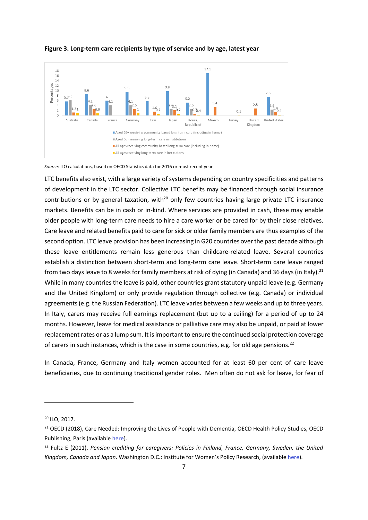

**Figure 3. Long-term care recipients by type of service and by age, latest year**

*Source*: ILO calculations, based on OECD Statistics data for 2016 or most recent year

LTC benefits also exist, with a large variety of systems depending on country specificities and patterns of development in the LTC sector. Collective LTC benefits may be financed through social insurance contributions or by general taxation, with<sup>20</sup> only few countries having large private LTC insurance markets. Benefits can be in cash or in-kind. Where services are provided in cash, these may enable older people with long-term care needs to hire a care worker or be cared for by their close relatives. Care leave and related benefits paid to care for sick or older family members are thus examples of the second option. LTC leave provision has been increasing in G20 countries over the past decade although these leave entitlements remain less generous than childcare-related leave. Several countries establish a distinction between short-term and long-term care leave. Short-term care leave ranged from two days leave to 8 weeks for family members at risk of dying (in Canada) and 36 days (in Italy).<sup>21</sup> While in many countries the leave is paid, other countries grant statutory unpaid leave (e.g. Germany and the United Kingdom) or only provide regulation through collective (e.g. Canada) or individual agreements (e.g. the Russian Federation). LTC leave varies between a few weeks and up to three years. In Italy, carers may receive full earnings replacement (but up to a ceiling) for a period of up to 24 months. However, leave for medical assistance or palliative care may also be unpaid, or paid at lower replacement rates or as a lump sum. It is important to ensure the continued social protection coverage of carers in such instances, which is the case in some countries, e.g. for old age pensions.<sup>22</sup>

In Canada, France, Germany and Italy women accounted for at least 60 per cent of care leave beneficiaries, due to continuing traditional gender roles. Men often do not ask for leave, for fear of

<sup>20</sup> ILO, 2017.

<sup>&</sup>lt;sup>21</sup> OECD (2018), Care Needed: Improving the Lives of People with Dementia, OECD Health Policy Studies, OECD Publishing, Paris (available [here\)](https://doi.org/10.1787/9789264085107-en%20or%20https:/www.oecd.org/els/soc/PF2_3_Additional_leave_entitlements_of_working_parents.pdf).

<sup>22</sup> Fultz E (2011), *Pension crediting for caregivers: Policies in Finland, France, Germany, Sweden, the United Kingdom, Canada and Japan*. Washington D.C.: Institute for Women's Policy Research, (availabl[e here\)](http://www.iwpr.org/publications/pubs/pension-crediting-for-caregivers-policies-in-finland-france-germany-sweden-the-united-kingdom-canada-and-japan/at_download/file).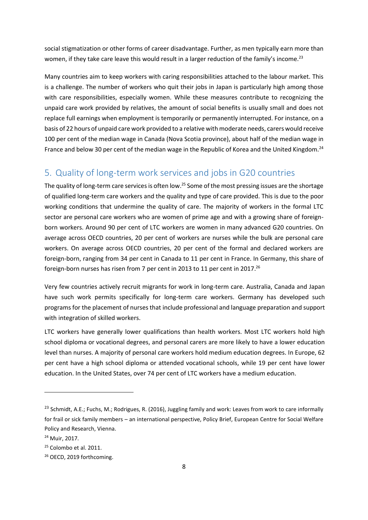social stigmatization or other forms of career disadvantage. Further, as men typically earn more than women, if they take care leave this would result in a larger reduction of the family's income.<sup>23</sup>

Many countries aim to keep workers with caring responsibilities attached to the labour market. This is a challenge. The number of workers who quit their jobs in Japan is particularly high among those with care responsibilities, especially women. While these measures contribute to recognizing the unpaid care work provided by relatives, the amount of social benefits is usually small and does not replace full earnings when employment is temporarily or permanently interrupted. For instance, on a basis of 22 hours of unpaid care work provided to a relative with moderate needs, carers would receive 100 per cent of the median wage in Canada (Nova Scotia province), about half of the median wage in France and below 30 per cent of the median wage in the Republic of Korea and the United Kingdom.<sup>24</sup>

## <span id="page-9-0"></span>5. Quality of long-term work services and jobs in G20 countries

The quality of long-term care services is often low.<sup>25</sup> Some of the most pressing issues are the shortage of qualified long-term care workers and the quality and type of care provided. This is due to the poor working conditions that undermine the quality of care. The majority of workers in the formal LTC sector are personal care workers who are women of prime age and with a growing share of foreignborn workers. Around 90 per cent of LTC workers are women in many advanced G20 countries. On average across OECD countries, 20 per cent of workers are nurses while the bulk are personal care workers. On average across OECD countries, 20 per cent of the formal and declared workers are foreign-born, ranging from 34 per cent in Canada to 11 per cent in France. In Germany, this share of foreign-born nurses has risen from 7 per cent in 2013 to 11 per cent in 2017.<sup>26</sup>

Very few countries actively recruit migrants for work in long-term care. Australia, Canada and Japan have such work permits specifically for long-term care workers. Germany has developed such programs for the placement of nurses that include professional and language preparation and support with integration of skilled workers.

LTC workers have generally lower qualifications than health workers. Most LTC workers hold high school diploma or vocational degrees, and personal carers are more likely to have a lower education level than nurses. A majority of personal care workers hold medium education degrees. In Europe, 62 per cent have a high school diploma or attended vocational schools, while 19 per cent have lower education. In the United States, over 74 per cent of LTC workers have a medium education.

1

<sup>&</sup>lt;sup>23</sup> Schmidt, A.E.; Fuchs, M.; Rodrigues, R. (2016), Juggling family and work: Leaves from work to care informally for frail or sick family members – an international perspective, Policy Brief, European Centre for Social Welfare Policy and Research, Vienna.

<sup>24</sup> Muir, 2017.

<sup>25</sup> Colombo et al. 2011.

<sup>&</sup>lt;sup>26</sup> OECD, 2019 forthcoming.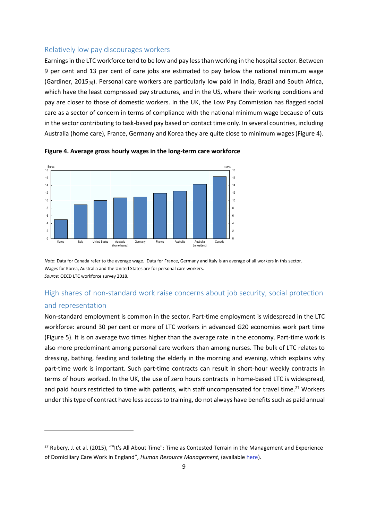#### <span id="page-10-0"></span>Relatively low pay discourages workers

**.** 

Earnings in the LTC workforce tend to be low and pay less than working in the hospital sector. Between 9 per cent and 13 per cent of care jobs are estimated to pay below the national minimum wage (Gardiner, 2015[8]). Personal care workers are particularly low paid in India, Brazil and South Africa, which have the least compressed pay structures, and in the US, where their working conditions and pay are closer to those of domestic workers. In the UK, the Low Pay Commission has flagged social care as a sector of concern in terms of compliance with the national minimum wage because of cuts in the sector contributing to task-based pay based on contact time only. In several countries, including Australia (home care), France, Germany and Korea they are quite close to minimum wages (Figure 4).



**Figure 4. Average gross hourly wages in the long-term care workforce**

### <span id="page-10-1"></span>High shares of non-standard work raise concerns about job security, social protection and representation

Non-standard employment is common in the sector. Part-time employment is widespread in the LTC workforce: around 30 per cent or more of LTC workers in advanced G20 economies work part time [\(Figure](#page-11-0) 5). It is on average two times higher than the average rate in the economy. Part-time work is also more predominant among personal care workers than among nurses. The bulk of LTC relates to dressing, bathing, feeding and toileting the elderly in the morning and evening, which explains why part-time work is important. Such part-time contracts can result in short-hour weekly contracts in terms of hours worked. In the UK, the use of zero hours contracts in home-based LTC is widespread, and paid hours restricted to time with patients, with staff uncompensated for travel time.<sup>27</sup> Workers under this type of contract have less access to training, do not always have benefits such as paid annual

*Note*: Data for Canada refer to the average wage. Data for France, Germany and Italy is an average of all workers in this sector. Wages for Korea, Australia and the United States are for personal care workers. *Source*: OECD LTC workforce survey 2018.

<sup>&</sup>lt;sup>27</sup> Rubery, J. et al. (2015), ""It's All About Time": Time as Contested Terrain in the Management and Experience of Domiciliary Care Work in England", *Human Resource Management*, (available [here\)](http://dx.doi.org/10.1002/hrm.21685).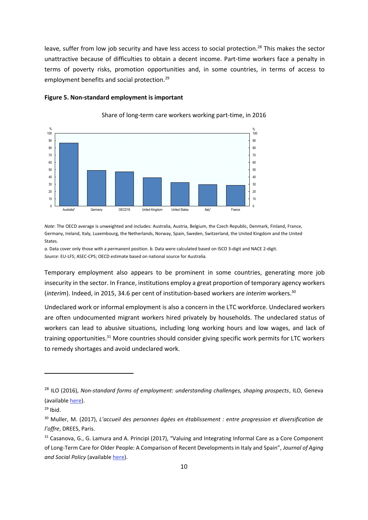leave, suffer from low job security and have less access to social protection.<sup>28</sup> This makes the sector unattractive because of difficulties to obtain a decent income. Part-time workers face a penalty in terms of poverty risks, promotion opportunities and, in some countries, in terms of access to employment benefits and social protection. 29

#### <span id="page-11-0"></span>**Figure 5. Non-standard employment is important**



Share of long-term care workers working part-time, in 2016

*Note*: The OECD average is unweighted and includes: Australia, Austria, Belgium, the Czech Republic, Denmark, Finland, France, Germany, Ireland, Italy, Luxembourg, the Netherlands, Norway, Spain, Sweden, Switzerland, the United Kingdom and the United States.

*a.* Data cover only those with a permanent position. *b.* Data were calculated based on ISCO 3-digit and NACE 2-digit. *Source*: EU-LFS; ASEC-CPS; OECD estimate based on national source for Australia.

Temporary employment also appears to be prominent in some countries, generating more job insecurity in the sector. In France, institutions employ a great proportion of temporary agency workers (*interim*). Indeed, in 2015, 34.6 per cent of institution-based workers are *interim* workers. 30

Undeclared work or informal employment is also a concern in the LTC workforce. Undeclared workers are often undocumented migrant workers hired privately by households. The undeclared status of workers can lead to abusive situations, including long working hours and low wages, and lack of training opportunities.<sup>31</sup> More countries should consider giving specific work permits for LTC workers to remedy shortages and avoid undeclared work.

<sup>28</sup> ILO (2016), *Non-standard forms of employment: understanding challenges, shaping prospects*, ILO, Geneva (available [here\)](http://www.ilo.org/wcmsp5/groups/public/---dgreports/---dcomm/---publ/documents/publication/wcms_534326.pdf).

 $29$  Ibid.

<sup>30</sup> Muller, M. (2017), *L'accueil des personnes âgées en établissement : entre progression et diversification de l'offre*, DREES, Paris.

<sup>31</sup> Casanova, G., G. Lamura and A. Principi (2017), "Valuing and Integrating Informal Care as a Core Component of Long-Term Care for Older People: A Comparison of Recent Developments in Italy and Spain", *Journal of Aging and Social Policy* (availabl[e here\)](http://dx.doi.org/10.1080/08959420.2016.1236640).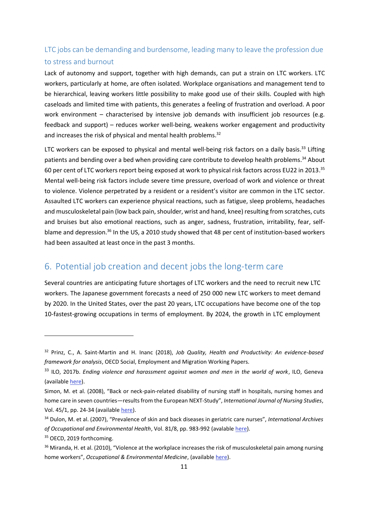## <span id="page-12-0"></span>LTC jobs can be demanding and burdensome, leading many to leave the profession due to stress and burnout

Lack of autonomy and support, together with high demands, can put a strain on LTC workers. LTC workers, particularly at home, are often isolated. Workplace organisations and management tend to be hierarchical, leaving workers little possibility to make good use of their skills. Coupled with high caseloads and limited time with patients, this generates a feeling of frustration and overload. A poor work environment – characterised by intensive job demands with insufficient job resources (e.g. feedback and support) – reduces worker well-being, weakens worker engagement and productivity and increases the risk of physical and mental health problems.<sup>32</sup>

LTC workers can be exposed to physical and mental well-being risk factors on a daily basis.<sup>33</sup> Lifting patients and bending over a bed when providing care contribute to develop health problems.<sup>34</sup> About 60 per cent of LTC workers report being exposed at work to physical risk factors across EU22 in 2013. 35 Mental well-being risk factors include severe time pressure, overload of work and violence or threat to violence. Violence perpetrated by a resident or a resident's visitor are common in the LTC sector. Assaulted LTC workers can experience physical reactions, such as fatigue, sleep problems, headaches and musculoskeletal pain (low back pain, shoulder, wrist and hand, knee) resulting from scratches, cuts and bruises but also emotional reactions, such as anger, sadness, frustration, irritability, fear, selfblame and depression.<sup>36</sup> In the US, a 2010 study showed that 48 per cent of institution-based workers had been assaulted at least once in the past 3 months.

# <span id="page-12-1"></span>6. Potential job creation and decent jobs the long-term care

Several countries are anticipating future shortages of LTC workers and the need to recruit new LTC workers. The Japanese government forecasts a need of 250 000 new LTC workers to meet demand by 2020. In the United States, over the past 20 years, LTC occupations have become one of the top 10-fastest-growing occupations in terms of employment. By 2024, the growth in LTC employment

<sup>32</sup> Prinz, C., A. Saint-Martin and H. Inanc (2018), *Job Quality, Health and Productivity: An evidence-based framework for analysis*, OECD Social, Employment and Migration Working Papers.

<sup>33</sup> ILO, 2017b. *Ending violence and harassment against women and men in the world of work*, ILO, Geneva (available [here\)](https://www.ilo.org/wcmsp5/groups/public/---ed_norm/---relconf/documents/meetingdocument/wcms_553577.pdf).

Simon, M. et al. (2008), "Back or neck-pain-related disability of nursing staff in hospitals, nursing homes and home care in seven countries—results from the European NEXT-Study", *International Journal of Nursing Studies*, Vol. 45/1, pp. 24-34 (available [here\)](http://dx.doi.org/10.1016/J.IJNURSTU.2006.11.003).

<sup>34</sup> Dulon, M. et al. (2007), "Prevalence of skin and back diseases in geriatric care nurses", *International Archives of Occupational and Environmental Health*, Vol. 81/8, pp. 983-992 (avalable [here\)](http://dx.doi.org/10.1007/s00420-007-0292-y).

<sup>&</sup>lt;sup>35</sup> OECD, 2019 forthcoming.

<sup>&</sup>lt;sup>36</sup> Miranda, H. et al. (2010), "Violence at the workplace increases the risk of musculoskeletal pain among nursing home workers", *Occupational & Environmental Medicine*, (available [here\)](http://dx.doi.org/10.1136/oem.2009.051474).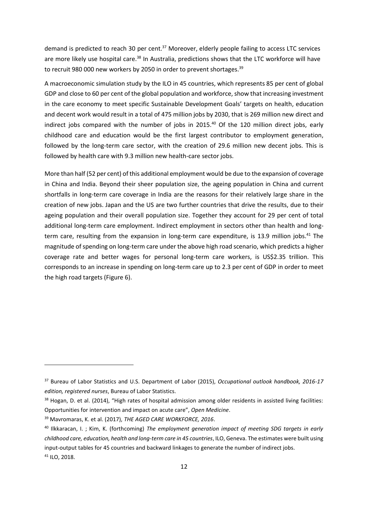demand is predicted to reach 30 per cent.<sup>37</sup> Moreover, elderly people failing to access LTC services are more likely use hospital care.<sup>38</sup> In Australia, predictions shows that the LTC workforce will have to recruit 980 000 new workers by 2050 in order to prevent shortages.<sup>39</sup>

A macroeconomic simulation study by the ILO in 45 countries, which represents 85 per cent of global GDP and close to 60 per cent of the global population and workforce, show that increasing investment in the care economy to meet specific Sustainable Development Goals' targets on health, education and decent work would result in a total of 475 million jobs by 2030, that is 269 million new direct and indirect jobs compared with the number of jobs in 2015.<sup>40</sup> Of the 120 million direct jobs, early childhood care and education would be the first largest contributor to employment generation, followed by the long-term care sector, with the creation of 29.6 million new decent jobs. This is followed by health care with 9.3 million new health-care sector jobs.

More than half (52 per cent) of this additional employment would be due to the expansion of coverage in China and India. Beyond their sheer population size, the ageing population in China and current shortfalls in long-term care coverage in India are the reasons for their relatively large share in the creation of new jobs. Japan and the US are two further countries that drive the results, due to their ageing population and their overall population size. Together they account for 29 per cent of total additional long-term care employment. Indirect employment in sectors other than health and longterm care, resulting from the expansion in long-term care expenditure, is 13.9 million jobs.<sup>41</sup> The magnitude of spending on long-term care under the above high road scenario, which predicts a higher coverage rate and better wages for personal long-term care workers, is US\$2.35 trillion. This corresponds to an increase in spending on long-term care up to 2.3 per cent of GDP in order to meet the high road targets (Figure 6).

<sup>37</sup> Bureau of Labor Statistics and U.S. Department of Labor (2015), *Occupational outlook handbook, 2016-17 edition, registered nurses*, Bureau of Labor Statistics.

<sup>&</sup>lt;sup>38</sup> Hogan, D. et al. (2014), "High rates of hospital admission among older residents in assisted living facilities: Opportunities for intervention and impact on acute care", *Open Medicine*.

<sup>39</sup> Mavromaras, K. et al. (2017), *THE AGED CARE WORKFORCE, 2016*.

<sup>40</sup> Ilkkaracan, I. ; Kim, K. (forthcoming) *The employment generation impact of meeting SDG targets in early childhood care, education, health and long-term care in 45 countries*, ILO, Geneva. The estimates were built using input-output tables for 45 countries and backward linkages to generate the number of indirect jobs. <sup>41</sup> ILO, 2018.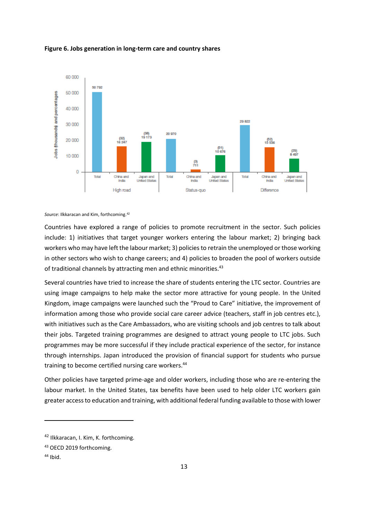

#### **Figure 6. Jobs generation in long-term care and country shares**

*Source*: Ilkkaracan and Kim, forthcoming.<sup>42</sup>

Countries have explored a range of policies to promote recruitment in the sector. Such policies include: 1) initiatives that target younger workers entering the labour market; 2) bringing back workers who may have left the labour market; 3) policies to retrain the unemployed or those working in other sectors who wish to change careers; and 4) policies to broaden the pool of workers outside of traditional channels by attracting men and ethnic minorities.<sup>43</sup>

Several countries have tried to increase the share of students entering the LTC sector. Countries are using image campaigns to help make the sector more attractive for young people. In the United Kingdom, image campaigns were launched such the "Proud to Care" initiative, the improvement of information among those who provide social care career advice (teachers, staff in job centres etc.), with initiatives such as the Care Ambassadors, who are visiting schools and job centres to talk about their jobs. Targeted training programmes are designed to attract young people to LTC jobs. Such programmes may be more successful if they include practical experience of the sector, for instance through internships. Japan introduced the provision of financial support for students who pursue training to become certified nursing care workers.<sup>44</sup>

Other policies have targeted prime-age and older workers, including those who are re-entering the labour market. In the United States, tax benefits have been used to help older LTC workers gain greater access to education and training, with additional federal funding available to those with lower

1

<sup>42</sup> Ilkkaracan, I. Kim, K. forthcoming.

<sup>43</sup> OECD 2019 forthcoming.

 $44$  Ibid.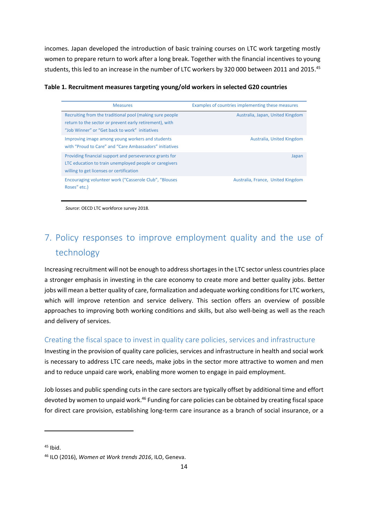incomes. Japan developed the introduction of basic training courses on LTC work targeting mostly women to prepare return to work after a long break. Together with the financial incentives to young students, this led to an increase in the number of LTC workers by 320 000 between 2011 and 2015.<sup>45</sup>

| <b>Measures</b>                                                                                                                                                        | Examples of countries implementing these measures |
|------------------------------------------------------------------------------------------------------------------------------------------------------------------------|---------------------------------------------------|
| Recruiting from the traditional pool (making sure people)<br>return to the sector or prevent early retirement), with<br>"Job Winner" or "Get back to work" initiatives | Australia, Japan, United Kingdom                  |
| Improving image among young workers and students<br>with "Proud to Care" and "Care Ambassadors" initiatives                                                            | Australia, United Kingdom                         |
| Providing financial support and perseverance grants for<br>LTC education to train unemployed people or caregivers<br>willing to get licenses or certification          | Japan                                             |
| Encouraging volunteer work ("Casserole Club", "Blouses<br>Roses" etc.)                                                                                                 | Australia, France, United Kingdom                 |

#### **Table 1. Recruitment measures targeting young/old workers in selected G20 countries**

*Source*: OECD LTC workforce survey 2018.

# <span id="page-15-0"></span>7. Policy responses to improve employment quality and the use of technology

Increasing recruitment will not be enough to address shortages in the LTC sector unless countries place a stronger emphasis in investing in the care economy to create more and better quality jobs. Better jobs will mean a better quality of care, formalization and adequate working conditions for LTC workers, which will improve retention and service delivery. This section offers an overview of possible approaches to improving both working conditions and skills, but also well-being as well as the reach and delivery of services.

### <span id="page-15-1"></span>Creating the fiscal space to invest in quality care policies, services and infrastructure

Investing in the provision of quality care policies, services and infrastructure in health and social work is necessary to address LTC care needs, make jobs in the sector more attractive to women and men and to reduce unpaid care work, enabling more women to engage in paid employment.

Job losses and public spending cuts in the care sectors are typically offset by additional time and effort devoted by women to unpaid work.<sup>46</sup> Funding for care policies can be obtained by creating fiscal space for direct care provision, establishing long-term care insurance as a branch of social insurance, or a

 $45$  Ibid.

<sup>46</sup> ILO (2016), *Women at Work trends 2016*, ILO, Geneva.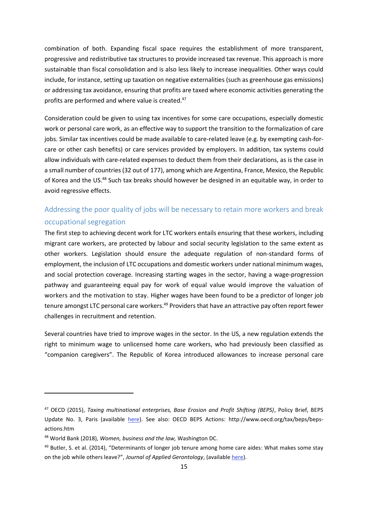combination of both. Expanding fiscal space requires the establishment of more transparent, progressive and redistributive tax structures to provide increased tax revenue. This approach is more sustainable than fiscal consolidation and is also less likely to increase inequalities. Other ways could include, for instance, setting up taxation on negative externalities (such as greenhouse gas emissions) or addressing tax avoidance, ensuring that profits are taxed where economic activities generating the profits are performed and where value is created.<sup>47</sup>

Consideration could be given to using tax incentives for some care occupations, especially domestic work or personal care work, as an effective way to support the transition to the formalization of care jobs. Similar tax incentives could be made available to care-related leave (e.g. by exempting cash-forcare or other cash benefits) or care services provided by employers. In addition, tax systems could allow individuals with care-related expenses to deduct them from their declarations, as is the case in a small number of countries (32 out of 177), among which are Argentina, France, Mexico, the Republic of Korea and the US.<sup>48</sup> Such tax breaks should however be designed in an equitable way, in order to avoid regressive effects.

# <span id="page-16-0"></span>Addressing the poor quality of jobs will be necessary to retain more workers and break occupational segregation

The first step to achieving decent work for LTC workers entails ensuring that these workers, including migrant care workers, are protected by labour and social security legislation to the same extent as other workers. Legislation should ensure the adequate regulation of non-standard forms of employment, the inclusion of LTC occupations and domestic workers under national minimum wages, and social protection coverage. Increasing starting wages in the sector, having a wage-progression pathway and guaranteeing equal pay for work of equal value would improve the valuation of workers and the motivation to stay. Higher wages have been found to be a predictor of longer job tenure amongst LTC personal care workers.<sup>49</sup> Providers that have an attractive pay often report fewer challenges in recruitment and retention.

Several countries have tried to improve wages in the sector. In the US, a new regulation extends the right to minimum wage to unlicensed home care workers, who had previously been classified as "companion caregivers". The Republic of Korea introduced allowances to increase personal care

<sup>47</sup> OECD (2015), *Taxing multinational enterprises, Base Erosion and Profit Shifting (BEPS)*, Policy Brief, BEPS Update No. 3, Paris (available [here\)](http://www.oecd.org/ctp/policy-brief-beps-2015.pdf). See also: OECD BEPS Actions: http://www.oecd.org/tax/beps/bepsactions.htm

<sup>48</sup> World Bank (2018), *Women, business and the law,* Washington DC.

<sup>&</sup>lt;sup>49</sup> Butler, S. et al. (2014), "Determinants of longer job tenure among home care aides: What makes some stay on the job while others leave?", *Journal of Applied Gerontology*, (available [here\)](http://dx.doi.org/10.1177/0733464813495958).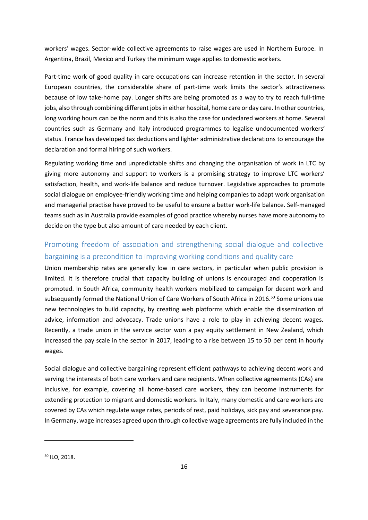workers' wages. Sector-wide collective agreements to raise wages are used in Northern Europe. In Argentina, Brazil, Mexico and Turkey the minimum wage applies to domestic workers.

Part-time work of good quality in care occupations can increase retention in the sector. In several European countries, the considerable share of part-time work limits the sector's attractiveness because of low take-home pay. Longer shifts are being promoted as a way to try to reach full-time jobs, also through combining different jobs in either hospital, home care or day care. In other countries, long working hours can be the norm and this is also the case for undeclared workers at home. Several countries such as Germany and Italy introduced programmes to legalise undocumented workers' status. France has developed tax deductions and lighter administrative declarations to encourage the declaration and formal hiring of such workers.

Regulating working time and unpredictable shifts and changing the organisation of work in LTC by giving more autonomy and support to workers is a promising strategy to improve LTC workers' satisfaction, health, and work-life balance and reduce turnover. Legislative approaches to promote social dialogue on employee-friendly working time and helping companies to adapt work organisation and managerial practise have proved to be useful to ensure a better work-life balance. Self-managed teams such as in Australia provide examples of good practice whereby nurses have more autonomy to decide on the type but also amount of care needed by each client.

# <span id="page-17-0"></span>Promoting freedom of association and strengthening social dialogue and collective bargaining is a precondition to improving working conditions and quality care

Union membership rates are generally low in care sectors, in particular when public provision is limited. It is therefore crucial that capacity building of unions is encouraged and cooperation is promoted. In South Africa, community health workers mobilized to campaign for decent work and subsequently formed the National Union of Care Workers of South Africa in 2016.<sup>50</sup> Some unions use new technologies to build capacity, by creating web platforms which enable the dissemination of advice, information and advocacy. Trade unions have a role to play in achieving decent wages. Recently, a trade union in the service sector won a pay equity settlement in New Zealand, which increased the pay scale in the sector in 2017, leading to a rise between 15 to 50 per cent in hourly wages.

Social dialogue and collective bargaining represent efficient pathways to achieving decent work and serving the interests of both care workers and care recipients. When collective agreements (CAs) are inclusive, for example, covering all home-based care workers, they can become instruments for extending protection to migrant and domestic workers. In Italy, many domestic and care workers are covered by CAs which regulate wage rates, periods of rest, paid holidays, sick pay and severance pay. In Germany, wage increases agreed upon through collective wage agreements are fully included in the

<sup>50</sup> ILO, 2018.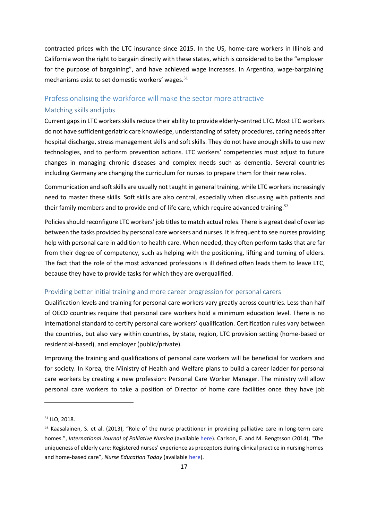contracted prices with the LTC insurance since 2015. In the US, home-care workers in Illinois and California won the right to bargain directly with these states, which is considered to be the "employer for the purpose of bargaining", and have achieved wage increases. In Argentina, wage-bargaining mechanisms exist to set domestic workers' wages.<sup>51</sup>

### <span id="page-18-1"></span><span id="page-18-0"></span>Professionalising the workforce will make the sector more attractive Matching skills and jobs

Current gaps in LTC workers skills reduce their ability to provide elderly-centred LTC. Most LTC workers do not have sufficient geriatric care knowledge, understanding of safety procedures, caring needs after hospital discharge, stress management skills and soft skills. They do not have enough skills to use new technologies, and to perform prevention actions. LTC workers' competencies must adjust to future changes in managing chronic diseases and complex needs such as dementia. Several countries including Germany are changing the curriculum for nurses to prepare them for their new roles.

Communication and soft skills are usually not taught in general training, while LTC workers increasingly need to master these skills. Soft skills are also central, especially when discussing with patients and their family members and to provide end-of-life care, which require advanced training.<sup>52</sup>

Policies should reconfigure LTC workers' job titles to match actual roles. There is a great deal of overlap between the tasks provided by personal care workers and nurses. It is frequent to see nurses providing help with personal care in addition to health care. When needed, they often perform tasks that are far from their degree of competency, such as helping with the positioning, lifting and turning of elders. The fact that the role of the most advanced professions is ill defined often leads them to leave LTC, because they have to provide tasks for which they are overqualified.

#### <span id="page-18-2"></span>Providing better initial training and more career progression for personal carers

Qualification levels and training for personal care workers vary greatly across countries. Less than half of OECD countries require that personal care workers hold a minimum education level. There is no international standard to certify personal care workers' qualification. Certification rules vary between the countries, but also vary within countries, by state, region, LTC provision setting (home-based or residential-based), and employer (public/private).

Improving the training and qualifications of personal care workers will be beneficial for workers and for society. In Korea, the Ministry of Health and Welfare plans to build a career ladder for personal care workers by creating a new profession: Personal Care Worker Manager. The ministry will allow personal care workers to take a position of Director of home care facilities once they have job

<sup>51</sup> ILO, 2018.

<sup>&</sup>lt;sup>52</sup> Kaasalainen, S. et al. (2013), "Role of the nurse practitioner in providing palliative care in long-term care homes.", *International Journal of Palliative Nursing* (availabl[e here\)](http://dx.doi.org/10.12968/ijpn.2013.19.10.477). Carlson, E. and M. Bengtsson (2014), "The uniqueness of elderly care: Registered nurses' experience as preceptors during clinical practice in nursing homes and home-based care", *Nurse Education Today* (available [here\)](http://dx.doi.org/10.1016/j.nedt.2013.07.017).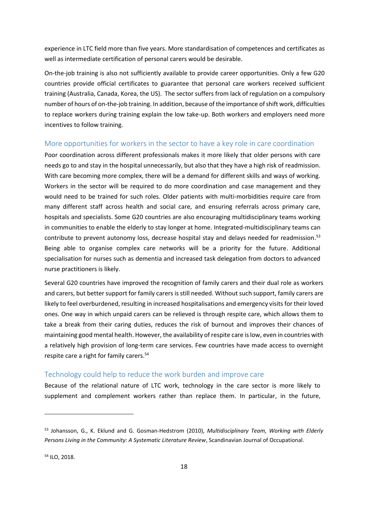experience in LTC field more than five years. More standardisation of competences and certificates as well as intermediate certification of personal carers would be desirable.

On-the-job training is also not sufficiently available to provide career opportunities. Only a few G20 countries provide official certificates to guarantee that personal care workers received sufficient training (Australia, Canada, Korea, the US). The sector suffers from lack of regulation on a compulsory number of hours of on-the-job training. In addition, because of the importance of shift work, difficulties to replace workers during training explain the low take-up. Both workers and employers need more incentives to follow training.

#### <span id="page-19-0"></span>More opportunities for workers in the sector to have a key role in care coordination

Poor coordination across different professionals makes it more likely that older persons with care needs go to and stay in the hospital unnecessarily, but also that they have a high risk of readmission. With care becoming more complex, there will be a demand for different skills and ways of working. Workers in the sector will be required to do more coordination and case management and they would need to be trained for such roles. Older patients with multi-morbidities require care from many different staff across health and social care, and ensuring referrals across primary care, hospitals and specialists. Some G20 countries are also encouraging multidisciplinary teams working in communities to enable the elderly to stay longer at home. Integrated-multidisciplinary teams can contribute to prevent autonomy loss, decrease hospital stay and delays needed for readmission.<sup>53</sup> Being able to organise complex care networks will be a priority for the future. Additional specialisation for nurses such as dementia and increased task delegation from doctors to advanced nurse practitioners is likely.

Several G20 countries have improved the recognition of family carers and their dual role as workers and carers, but better support for family carers is still needed. Without such support, family carers are likely to feel overburdened, resulting in increased hospitalisations and emergency visits for their loved ones. One way in which unpaid carers can be relieved is through respite care, which allows them to take a break from their caring duties, reduces the risk of burnout and improves their chances of maintaining good mental health. However, the availability of respite care is low, even in countries with a relatively high provision of long-term care services. Few countries have made access to overnight respite care a right for family carers.<sup>54</sup>

#### <span id="page-19-1"></span>Technology could help to reduce the work burden and improve care

Because of the relational nature of LTC work, technology in the care sector is more likely to supplement and complement workers rather than replace them. In particular, in the future,

<sup>54</sup> ILO, 2018.

1

<sup>53</sup> Johansson, G., K. Eklund and G. Gosman-Hedstrom (2010), *Multidisciplinary Team, Working with Elderly Persons Living in the Community: A Systematic Literature Review*, Scandinavian Journal of Occupational.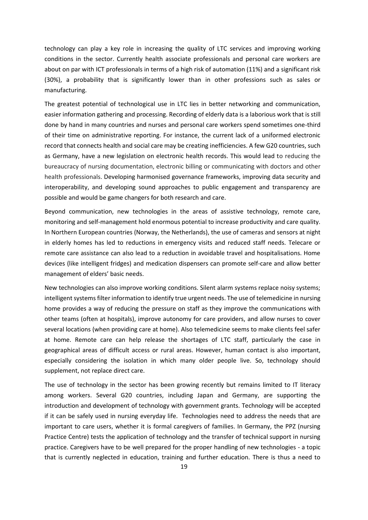technology can play a key role in increasing the quality of LTC services and improving working conditions in the sector. Currently health associate professionals and personal care workers are about on par with ICT professionals in terms of a high risk of automation (11%) and a significant risk (30%), a probability that is significantly lower than in other professions such as sales or manufacturing.

The greatest potential of technological use in LTC lies in better networking and communication, easier information gathering and processing. Recording of elderly data is a laborious work that is still done by hand in many countries and nurses and personal care workers spend sometimes one-third of their time on administrative reporting. For instance, the current lack of a uniformed electronic record that connects health and social care may be creating inefficiencies. A few G20 countries, such as Germany, have a new legislation on electronic health records. This would lead to reducing the bureaucracy of nursing documentation, electronic billing or communicating with doctors and other health professionals. Developing harmonised governance frameworks, improving data security and interoperability, and developing sound approaches to public engagement and transparency are possible and would be game changers for both research and care.

Beyond communication, new technologies in the areas of assistive technology, remote care, monitoring and self-management hold enormous potential to increase productivity and care quality. In Northern European countries (Norway, the Netherlands), the use of cameras and sensors at night in elderly homes has led to reductions in emergency visits and reduced staff needs. Telecare or remote care assistance can also lead to a reduction in avoidable travel and hospitalisations. Home devices (like intelligent fridges) and medication dispensers can promote self-care and allow better management of elders' basic needs.

New technologies can also improve working conditions. Silent alarm systems replace noisy systems; intelligent systems filter information to identify true urgent needs. The use of telemedicine in nursing home provides a way of reducing the pressure on staff as they improve the communications with other teams (often at hospitals), improve autonomy for care providers, and allow nurses to cover several locations (when providing care at home). Also telemedicine seems to make clients feel safer at home. Remote care can help release the shortages of LTC staff, particularly the case in geographical areas of difficult access or rural areas. However, human contact is also important, especially considering the isolation in which many older people live. So, technology should supplement, not replace direct care.

The use of technology in the sector has been growing recently but remains limited to IT literacy among workers. Several G20 countries, including Japan and Germany, are supporting the introduction and development of technology with government grants. Technology will be accepted if it can be safely used in nursing everyday life. Technologies need to address the needs that are important to care users, whether it is formal caregivers of families. In Germany, the PPZ (nursing Practice Centre) tests the application of technology and the transfer of technical support in nursing practice. Caregivers have to be well prepared for the proper handling of new technologies - a topic that is currently neglected in education, training and further education. There is thus a need to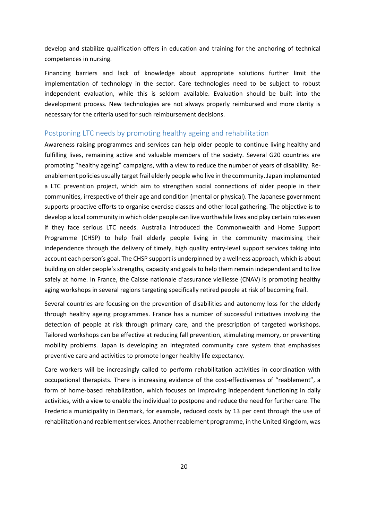develop and stabilize qualification offers in education and training for the anchoring of technical competences in nursing.

Financing barriers and lack of knowledge about appropriate solutions further limit the implementation of technology in the sector. Care technologies need to be subject to robust independent evaluation, while this is seldom available. Evaluation should be built into the development process. New technologies are not always properly reimbursed and more clarity is necessary for the criteria used for such reimbursement decisions.

#### <span id="page-21-0"></span>Postponing LTC needs by promoting healthy ageing and rehabilitation

Awareness raising programmes and services can help older people to continue living healthy and fulfilling lives, remaining active and valuable members of the society. Several G20 countries are promoting "healthy ageing" campaigns, with a view to reduce the number of years of disability. Reenablement policies usually target frail elderly people who live in the community. Japan implemented a LTC prevention project, which aim to strengthen social connections of older people in their communities, irrespective of their age and condition (mental or physical). The Japanese government supports proactive efforts to organise exercise classes and other local gathering. The objective is to develop a local community in which older people can live worthwhile lives and play certain roles even if they face serious LTC needs. Australia introduced the Commonwealth and Home Support Programme (CHSP) to help frail elderly people living in the community maximising their independence through the delivery of timely, high quality entry-level support services taking into account each person's goal. The CHSP support is underpinned by a wellness approach, which is about building on older people's strengths, capacity and goals to help them remain independent and to live safely at home. In France, the Caisse nationale d'assurance vieillesse (CNAV) is promoting healthy aging workshops in several regions targeting specifically retired people at risk of becoming frail.

Several countries are focusing on the prevention of disabilities and autonomy loss for the elderly through healthy ageing programmes. France has a number of successful initiatives involving the detection of people at risk through primary care, and the prescription of targeted workshops. Tailored workshops can be effective at reducing fall prevention, stimulating memory, or preventing mobility problems. Japan is developing an integrated community care system that emphasises preventive care and activities to promote longer healthy life expectancy.

Care workers will be increasingly called to perform rehabilitation activities in coordination with occupational therapists. There is increasing evidence of the cost-effectiveness of "reablement", a form of home-based rehabilitation, which focuses on improving independent functioning in daily activities, with a view to enable the individual to postpone and reduce the need for further care. The Fredericia municipality in Denmark, for example, reduced costs by 13 per cent through the use of rehabilitation and reablement services. Another reablement programme, in the United Kingdom, was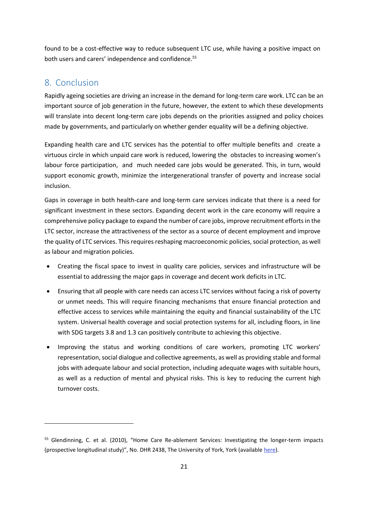found to be a cost-effective way to reduce subsequent LTC use, while having a positive impact on both users and carers' independence and confidence. 55

### <span id="page-22-0"></span>8. Conclusion

**.** 

Rapidly ageing societies are driving an increase in the demand for long-term care work. LTC can be an important source of job generation in the future, however, the extent to which these developments will translate into decent long-term care jobs depends on the priorities assigned and policy choices made by governments, and particularly on whether gender equality will be a defining objective.

Expanding health care and LTC services has the potential to offer multiple benefits and create a virtuous circle in which unpaid care work is reduced, lowering the obstacles to increasing women's labour force participation, and much needed care jobs would be generated. This, in turn, would support economic growth, minimize the intergenerational transfer of poverty and increase social inclusion.

Gaps in coverage in both health-care and long-term care services indicate that there is a need for significant investment in these sectors. Expanding decent work in the care economy will require a comprehensive policy package to expand the number of care jobs, improve recruitment efforts in the LTC sector, increase the attractiveness of the sector as a source of decent employment and improve the quality of LTC services. This requires reshaping macroeconomic policies, social protection, as well as labour and migration policies.

- Creating the fiscal space to invest in quality care policies, services and infrastructure will be essential to addressing the major gaps in coverage and decent work deficits in LTC.
- Ensuring that all people with care needs can access LTC services without facing a risk of poverty or unmet needs. This will require financing mechanisms that ensure financial protection and effective access to services while maintaining the equity and financial sustainability of the LTC system. Universal health coverage and social protection systems for all, including floors, in line with SDG targets 3.8 and 1.3 can positively contribute to achieving this objective.
- Improving the status and working conditions of care workers, promoting LTC workers' representation, social dialogue and collective agreements, as well as providing stable and formal jobs with adequate labour and social protection, including adequate wages with suitable hours, as well as a reduction of mental and physical risks. This is key to reducing the current high turnover costs.

<sup>55</sup> Glendinning, C. et al. (2010), "Home Care Re-ablement Services: Investigating the longer-term impacts (prospective longitudinal study)", No. DHR 2438, The University of York, York (available [here\)](http://www.york.ac.uk/spru).